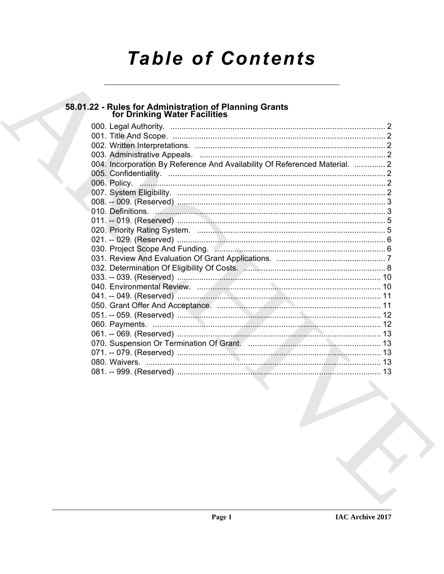# **Table of Contents**

# 58.01.22 - Rules for Administration of Planning Grants<br>for Drinking Water Facilities

| 004. Incorporation By Reference And Availability Of Referenced Material.  2 |  |
|-----------------------------------------------------------------------------|--|
|                                                                             |  |
|                                                                             |  |
|                                                                             |  |
|                                                                             |  |
|                                                                             |  |
|                                                                             |  |
|                                                                             |  |
|                                                                             |  |
|                                                                             |  |
|                                                                             |  |
|                                                                             |  |
|                                                                             |  |
|                                                                             |  |
|                                                                             |  |
|                                                                             |  |
|                                                                             |  |
|                                                                             |  |
|                                                                             |  |
|                                                                             |  |
|                                                                             |  |
|                                                                             |  |
|                                                                             |  |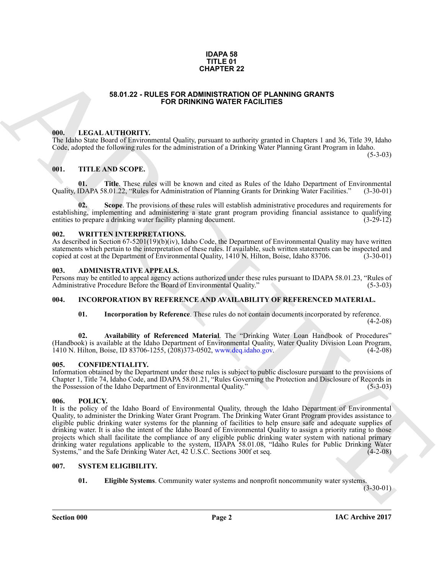### **IDAPA 58 TITLE 01 CHAPTER 22**

### **58.01.22 - RULES FOR ADMINISTRATION OF PLANNING GRANTS FOR DRINKING WATER FACILITIES**

### <span id="page-1-1"></span><span id="page-1-0"></span>**000. LEGAL AUTHORITY.**

The Idaho State Board of Environmental Quality, pursuant to authority granted in Chapters 1 and 36, Title 39, Idaho Code, adopted the following rules for the administration of a Drinking Water Planning Grant Program in Idaho.

(5-3-03)

### <span id="page-1-2"></span>**001. TITLE AND SCOPE.**

**11. These rules will be known and cited as Rules of the Idaho Department of Environmental 8.01.22, "Rules for Administration of Planning Grants for Drinking Water Facilities." (3-30-01)** Quality, IDAPA 58.01.22, "Rules for Administration of Planning Grants for Drinking Water Facilities."

**02. Scope**. The provisions of these rules will establish administrative procedures and requirements for establishing, implementing and administering a state grant program providing financial assistance to qualifying entities to prepare a drinking water facility planning document. (3-29-12) entities to prepare a drinking water facility planning document.

### <span id="page-1-3"></span>**002. WRITTEN INTERPRETATIONS.**

As described in Section 67-5201(19)(b)(iv), Idaho Code, the Department of Environmental Quality may have written statements which pertain to the interpretation of these rules. If available, such written statements can be inspected and copied at cost at the Department of Environmental Quality, 1410 N. Hilton, Boise, Idaho 83706. (3-30-01)

### <span id="page-1-4"></span>**003. ADMINISTRATIVE APPEALS.**

Persons may be entitled to appeal agency actions authorized under these rules pursuant to IDAPA 58.01.23, "Rules of Administrative Procedure Before the Board of Environmental Quality." (5-3-03)

### <span id="page-1-5"></span>**004. INCORPORATION BY REFERENCE AND AVAILABILITY OF REFERENCED MATERIAL.**

**01. Incorporation by Reference**. These rules do not contain documents incorporated by reference. (4-2-08)

**02. Availability of Referenced Material**. The "Drinking Water Loan Handbook of Procedures" (Handbook) is available at the Idaho Department of Environmental Quality, Water Quality Division Loan Program, 1410 N. Hilton, Boise, ID 83706-1255, (208)373-0502, www.deq.idaho.gov. (4-2-08) 1410 N. Hilton, Boise, ID 83706-1255, (208)373-0502, www.deq.idaho.gov.

### <span id="page-1-6"></span>**005. CONFIDENTIALITY.**

Information obtained by the Department under these rules is subject to public disclosure pursuant to the provisions of Chapter 1, Title 74, Idaho Code, and IDAPA 58.01.21, "Rules Governing the Protection and Disclosure of Records in the Possession of the Idaho Department of Environmental Quality."

### <span id="page-1-9"></span><span id="page-1-7"></span>**006. POLICY.**

**SEAD 22 - RULES FOR DEMINISTRATION CORANTES**<br>
SEAD 12 - RULES FOR DEMINISTRATION OF PLANNING ORANTS<br>
THE LAND CONTRATION CONTRATION CONTRATION CONTRATION CONTRATION CONTRATION CONTRATION CONTRATION CONTRATION CONTRATION It is the policy of the Idaho Board of Environmental Quality, through the Idaho Department of Environmental Quality, to administer the Drinking Water Grant Program. The Drinking Water Grant Program provides assistance to eligible public drinking water systems for the planning of facilities to help ensure safe and adequate supplies of drinking water. It is also the intent of the Idaho Board of Environmental Quality to assign a priority rating to those projects which shall facilitate the compliance of any eligible public drinking water system with national primary drinking water regulations applicable to the system, IDAPA 58.01.08, "Idaho Rules for Public Drinking Water Systems," and the Safe Drinking Water Act, 42 U.S.C. Sections 300f et seq. (4-2-08) Systems," and the Safe Drinking Water Act, 42 U.S.C. Sections 300f et seq.

### <span id="page-1-8"></span>**007. SYSTEM ELIGIBILITY.**

<span id="page-1-11"></span><span id="page-1-10"></span>**01. Eligible Systems**. Community water systems and nonprofit noncommunity water systems.

 $(3-30-01)$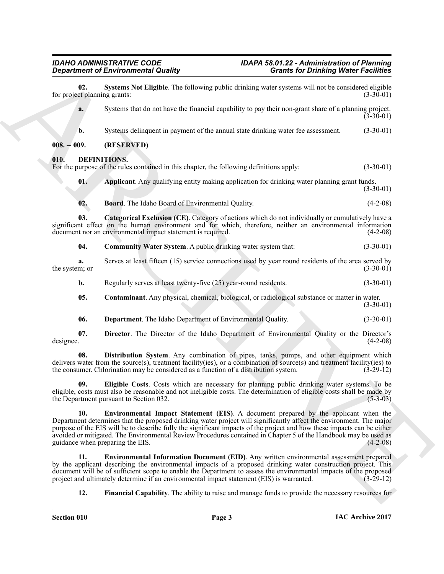<span id="page-2-15"></span><span id="page-2-14"></span><span id="page-2-13"></span><span id="page-2-12"></span><span id="page-2-11"></span><span id="page-2-10"></span><span id="page-2-9"></span><span id="page-2-8"></span><span id="page-2-7"></span><span id="page-2-6"></span><span id="page-2-5"></span><span id="page-2-4"></span><span id="page-2-3"></span><span id="page-2-2"></span><span id="page-2-1"></span><span id="page-2-0"></span>

|                                     | <b>Department of Environmental Quality</b>                                                                                                                                                                                                                                                                                                                                                                                                                                                          | <b>Grants for Drinking Water Facilities</b>                                                               |
|-------------------------------------|-----------------------------------------------------------------------------------------------------------------------------------------------------------------------------------------------------------------------------------------------------------------------------------------------------------------------------------------------------------------------------------------------------------------------------------------------------------------------------------------------------|-----------------------------------------------------------------------------------------------------------|
| 02.<br>for project planning grants: | Systems Not Eligible. The following public drinking water systems will not be considered eligible                                                                                                                                                                                                                                                                                                                                                                                                   | $(3-30-01)$                                                                                               |
| a.                                  | Systems that do not have the financial capability to pay their non-grant share of a planning project.                                                                                                                                                                                                                                                                                                                                                                                               | $(3-30-01)$                                                                                               |
| b.                                  | Systems delinquent in payment of the annual state drinking water fee assessment.                                                                                                                                                                                                                                                                                                                                                                                                                    | $(3-30-01)$                                                                                               |
| $008. - 009.$                       | (RESERVED)                                                                                                                                                                                                                                                                                                                                                                                                                                                                                          |                                                                                                           |
| 010.                                | DEFINITIONS.<br>For the purpose of the rules contained in this chapter, the following definitions apply:                                                                                                                                                                                                                                                                                                                                                                                            | $(3-30-01)$                                                                                               |
| 01.                                 | Applicant. Any qualifying entity making application for drinking water planning grant funds.                                                                                                                                                                                                                                                                                                                                                                                                        | $(3-30-01)$                                                                                               |
| 02.                                 | Board. The Idaho Board of Environmental Quality.                                                                                                                                                                                                                                                                                                                                                                                                                                                    | $(4-2-08)$                                                                                                |
| 03.                                 | Categorical Exclusion (CE). Category of actions which do not individually or cumulatively have a<br>significant effect on the human environment and for which, therefore, neither an environmental information<br>document nor an environmental impact statement is required.                                                                                                                                                                                                                       | $(4-2-08)$                                                                                                |
| 04.                                 | Community Water System. A public drinking water system that:                                                                                                                                                                                                                                                                                                                                                                                                                                        | $(3-30-01)$                                                                                               |
| a.<br>the system; or                | Serves at least fifteen (15) service connections used by year round residents of the area served by                                                                                                                                                                                                                                                                                                                                                                                                 | $(3-30-01)$                                                                                               |
| b.                                  | Regularly serves at least twenty-five (25) year-round residents.                                                                                                                                                                                                                                                                                                                                                                                                                                    | $(3-30-01)$                                                                                               |
| 05.                                 | <b>Contaminant</b> . Any physical, chemical, biological, or radiological substance or matter in water.                                                                                                                                                                                                                                                                                                                                                                                              | $(3-30-01)$                                                                                               |
| 06.                                 | Department. The Idaho Department of Environmental Quality.                                                                                                                                                                                                                                                                                                                                                                                                                                          | $(3-30-01)$                                                                                               |
| 07.<br>designee.                    | Director. The Director of the Idaho Department of Environmental Quality or the Director's                                                                                                                                                                                                                                                                                                                                                                                                           | $(4-2-08)$                                                                                                |
| 08.                                 | Distribution System. Any combination of pipes, tanks, pumps, and other equipment which<br>delivers water from the source(s), treatment facility(ies), or a combination of source(s) and treatment facility(ies) to<br>the consumer. Chlorination may be considered as a function of a distribution system.                                                                                                                                                                                          | $(3-29-12)$                                                                                               |
| 09.                                 | Eligible Costs. Costs which are necessary for planning public drinking water systems. To be<br>eligible, costs must also be reasonable and not ineligible costs. The determination of eligible costs shall be made by<br>the Department pursuant to Section 032.                                                                                                                                                                                                                                    | $(5-3-03)$                                                                                                |
| 10.                                 | <b>Environmental Impact Statement (EIS).</b> A document prepared by the applicant when the<br>Department determines that the proposed drinking water project will significantly affect the environment. The major<br>purpose of the EIS will be to describe fully the significant impacts of the project and how these impacts can be either<br>avoided or mitigated. The Environmental Review Procedures contained in Chapter 5 of the Handbook may be used as<br>guidance when preparing the EIS. | $(4-2-08)$                                                                                                |
| 11.                                 | <b>Environmental Information Document (EID).</b> Any written environmental assessment prepared<br>by the applicant describing the environmental impacts of a proposed drinking water construction project. This<br>document will be of sufficient scope to enable the Department to assess the environmental impacts of the proposed<br>project and ultimately determine if an environmental impact statement (EIS) is warranted.                                                                   | $(3-29-12)$                                                                                               |
| 12.                                 |                                                                                                                                                                                                                                                                                                                                                                                                                                                                                                     | <b>Financial Capability.</b> The ability to raise and manage funds to provide the necessary resources for |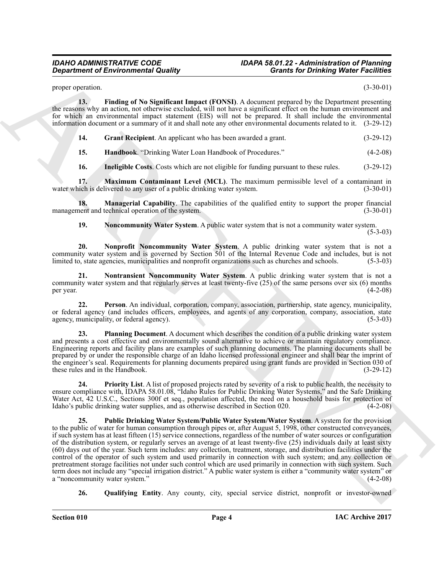## *IDAHO ADMINISTRATIVE CODE IDAPA 58.01.22 - Administration of Planning*

proper operation. (3-30-01)

**13. Finding of No Significant Impact (FONSI)**. A document prepared by the Department presenting the reasons why an action, not otherwise excluded, will not have a significant effect on the human environment and for which an environmental impact statement (EIS) will not be prepared. It shall include the environmental information document or a summary of it and shall note any other environmental documents related to it. (3-29-12)

<span id="page-3-1"></span><span id="page-3-0"></span>**14. Grant Recipient**. An applicant who has been awarded a grant. (3-29-12)

<span id="page-3-2"></span>**15. Handbook**. "Drinking Water Loan Handbook of Procedures." (4-2-08)

<span id="page-3-5"></span><span id="page-3-3"></span>**16.** Ineligible Costs. Costs which are not eligible for funding pursuant to these rules. (3-29-12)

**17. Maximum Contaminant Level (MCL)**. The maximum permissible level of a contaminant in water which is delivered to any user of a public drinking water system. (3-30-01)

**18. Managerial Capability**. The capabilities of the qualified entity to support the proper financial nent and technical operation of the system.  $(3-30-01)$ management and technical operation of the system.

<span id="page-3-8"></span><span id="page-3-7"></span><span id="page-3-6"></span><span id="page-3-4"></span>**19. Noncommunity Water System**. A public water system that is not a community water system.

(5-3-03)

**20. Nonprofit Noncommunity Water System**. A public drinking water system that is not a community water system and is governed by Section 501 of the Internal Revenue Code and includes, but is not limited to, state agencies, municipalities and nonprofit organizations such as churches and schools. (5-3-03)

**21. Nontransient Noncommunity Water System**. A public drinking water system that is not a community water system and that regularly serves at least twenty-five (25) of the same persons over six (6) months per year. (4-2-08) per year.  $(4-2-08)$ 

<span id="page-3-9"></span>**22. Person**. An individual, corporation, company, association, partnership, state agency, municipality, or federal agency (and includes officers, employees, and agents of any corporation, company, association, state agency, municipality, or federal agency). (5-3-03) agency, municipality, or federal agency).

<span id="page-3-13"></span>**23. Planning Document**. A document which describes the condition of a public drinking water system and presents a cost effective and environmentally sound alternative to achieve or maintain regulatory compliance. Engineering reports and facility plans are examples of such planning documents. The planning documents shall be prepared by or under the responsible charge of an Idaho licensed professional engineer and shall bear the imprint of the engineer's seal. Requirements for planning documents prepared using grant funds are provided in Section 030 of these rules and in the Handbook. (3-29-12) these rules and in the Handbook.

<span id="page-3-11"></span><span id="page-3-10"></span>**24. Priority List**. A list of proposed projects rated by severity of a risk to public health, the necessity to ensure compliance with, IDAPA 58.01.08, "Idaho Rules for Public Drinking Water Systems," and the Safe Drinking Water Act, 42 U.S.C., Sections 300f et seq., population affected, the need on a household basis for protection of Idaho's public drinking water supplies, and as otherwise described in Section 020. (4-2-08) Idaho's public drinking water supplies, and as otherwise described in Section 020.

**Constraint of Environmental Quality<br>
Space the Constraint Constraint Constraint Constraint Constraint Constraint Constraint Constraint Constraint<br>
Environmental Constraint Constraint Constraint Constraint Constraint Cons 25. Public Drinking Water System/Public Water System/Water System**. A system for the provision to the public of water for human consumption through pipes or, after August 5, 1998, other constructed conveyances, if such system has at least fifteen (15) service connections, regardless of the number of water sources or configuration of the distribution system, or regularly serves an average of at least twenty-five (25) individuals daily at least sixty (60) days out of the year. Such term includes: any collection, treatment, storage, and distribution facilities under the control of the operator of such system and used primarily in connection with such system; and any collection or pretreatment storage facilities not under such control which are used primarily in connection with such system. Such term does not include any "special irrigation district." A public water system is either a "community water system" or a "noncommunity water system."

<span id="page-3-12"></span>**26. Qualifying Entity**. Any county, city, special service district, nonprofit or investor-owned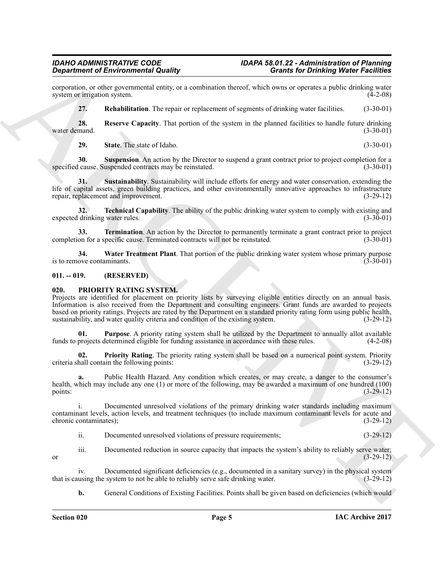corporation, or other governmental entity, or a combination thereof, which owns or operates a public drinking water system or irrigation system.

<span id="page-4-3"></span><span id="page-4-2"></span>**27. Rehabilitation**. The repair or replacement of segments of drinking water facilities. (3-30-01)

**28. Reserve Capacity**. That portion of the system in the planned facilities to handle future drinking mand. (3-30-01) water demand.

<span id="page-4-6"></span><span id="page-4-5"></span><span id="page-4-4"></span>**29.** State. The state of Idaho. (3-30-01)

**30.** Suspension. An action by the Director to suspend a grant contract prior to project completion for a cause. Suspended contracts may be reinstated. (3-30-01) specified cause. Suspended contracts may be reinstated.

**31. Sustainability**. Sustainability will include efforts for energy and water conservation, extending the life of capital assets, green building practices, and other environmentally innovative approaches to infrastructure repair, replacement and improvement. (3-29-12)

<span id="page-4-7"></span>**32. Technical Capability**. The ability of the public drinking water system to comply with existing and expected drinking water rules. (3-30-01)

<span id="page-4-8"></span>**33. Termination**. An action by the Director to permanently terminate a grant contract prior to project on for a specific cause. Terminated contracts will not be reinstated. (3-30-01) completion for a specific cause. Terminated contracts will not be reinstated.

<span id="page-4-9"></span>**34. Water Treatment Plant**. That portion of the public drinking water system whose primary purpose is to remove contaminants. (3-30-01)

### <span id="page-4-0"></span>**011. -- 019. (RESERVED)**

### <span id="page-4-10"></span><span id="page-4-1"></span>**020. PRIORITY RATING SYSTEM.**

Grantenberg Erichteristischen aus and and the system and the system and the system and the system and the system and the system and the system and the system and the system and the system and the system and the system and Projects are identified for placement on priority lists by surveying eligible entities directly on an annual basis. Information is also received from the Department and consulting engineers. Grant funds are awarded to projects based on priority ratings. Projects are rated by the Department on a standard priority rating form using public health, sustainability, and water quality criteria and condition of the existing system. (3-29-12)

<span id="page-4-12"></span>**01. Purpose**. A priority rating system shall be utilized by the Department to annually allot available funds to projects determined eligible for funding assistance in accordance with these rules. (4-2-08)

<span id="page-4-11"></span>**02. Priority Rating**. The priority rating system shall be based on a numerical point system. Priority hall contain the following points: (3-29-12) criteria shall contain the following points:

**a.** Public Health Hazard. Any condition which creates, or may create, a danger to the consumer's health, which may include any one (1) or more of the following, may be awarded a maximum of one hundred (100) points: (3-29-12)

i. Documented unresolved violations of the primary drinking water standards including maximum contaminant levels, action levels, and treatment techniques (to include maximum contaminant levels for acute and chronic contaminates); (3-29-12) chronic contaminates);

ii. Documented unresolved violations of pressure requirements; (3-29-12)

iii. Documented reduction in source capacity that impacts the system's ability to reliably serve water; or  $(3-29-12)$ 

iv. Documented significant deficiencies (e.g., documented in a sanitary survey) in the physical system<br>using the system to not be able to reliably serve safe drinking water. (3-29-12) that is causing the system to not be able to reliably serve safe drinking water.

**b.** General Conditions of Existing Facilities. Points shall be given based on deficiencies (which would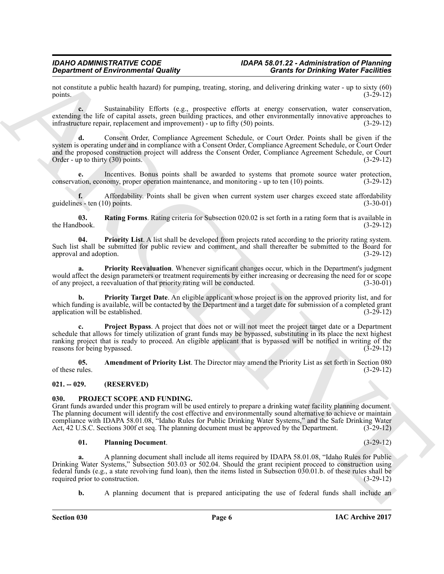## *IDAHO ADMINISTRATIVE CODE IDAPA 58.01.22 - Administration of Planning*

not constitute a public health hazard) for pumping, treating, storing, and delivering drinking water - up to sixty (60) points. (3-29-12) points.  $(3-29-12)$ 

**c.** Sustainability Efforts (e.g., prospective efforts at energy conservation, water conservation, extending the life of capital assets, green building practices, and other environmentally innovative approaches to infrastructure repair, replacement and improvement) - up to fifty (50) points. (3-29-12)

**d.** Consent Order, Compliance Agreement Schedule, or Court Order. Points shall be given if the system is operating under and in compliance with a Consent Order, Compliance Agreement Schedule, or Court Order and the proposed construction project will address the Consent Order, Compliance Agreement Schedule, or Court Order - up to thirty  $(30)$  points.

**e.** Incentives. Bonus points shall be awarded to systems that promote source water protection, economy, proper operation maintenance, and monitoring - up to ten (10) points. (3-29-12) conservation, economy, proper operation maintenance, and monitoring - up to ten (10) points.

**f.** Affordability. Points shall be given when current system user charges exceed state affordability  $(s-30-01)$ guidelines - ten  $(10)$  points.

<span id="page-5-7"></span>**03. Rating Forms**. Rating criteria for Subsection 020.02 is set forth in a rating form that is available in book.  $(3-29-12)$ the Handbook.

<span id="page-5-3"></span>**04. Priority List**. A list shall be developed from projects rated according to the priority rating system. Such list shall be submitted for public review and comment, and shall thereafter be submitted to the Board for approval and adoption. (3-29-12) approval and adoption.

<span id="page-5-4"></span>**a. Priority Reevaluation**. Whenever significant changes occur, which in the Department's judgment would affect the design parameters or treatment requirements by either increasing or decreasing the need for or scope<br>of any project, a reevaluation of that priority rating will be conducted. (3-30-01) of any project, a reevaluation of that priority rating will be conducted.

<span id="page-5-6"></span><span id="page-5-5"></span>**Priority Target Date**. An eligible applicant whose project is on the approved priority list, and for which funding is available, will be contacted by the Department and a target date for submission of a completed grant application will be established. (3-29-12) application will be established.

**Constraint of Environmental Quality<br>
The main term is the constraint of the constraint of the constraint of the constraint of the constraints of the constraints of the constraints of the constraints of the constraints of c. Project Bypass**. A project that does not or will not meet the project target date or a Department schedule that allows for timely utilization of grant funds may be bypassed, substituting in its place the next highest ranking project that is ready to proceed. An eligible applicant that is bypassed will be notified in writing of the reasons for being bypassed. (3-29-12)

<span id="page-5-2"></span>**05. Amendment of Priority List**. The Director may amend the Priority List as set forth in Section 080 rules. (3-29-12) of these rules.

### <span id="page-5-0"></span>**021. -- 029. (RESERVED)**

### <span id="page-5-8"></span><span id="page-5-1"></span>**030. PROJECT SCOPE AND FUNDING.**

Grant funds awarded under this program will be used entirely to prepare a drinking water facility planning document. The planning document will identify the cost effective and environmentally sound alternative to achieve or maintain compliance with IDAPA 58.01.08, "Idaho Rules for Public Drinking Water Systems," and the Safe Drinking Water Act, 42 U.S.C. Sections 300f et seq. The planning document must be approved by the Department. (3-29-12)

### <span id="page-5-9"></span>**01. Planning Document**. (3-29-12)

**a.** A planning document shall include all items required by IDAPA 58.01.08, "Idaho Rules for Public Drinking Water Systems," Subsection 503.03 or 502.04. Should the grant recipient proceed to construction using federal funds (e.g., a state revolving fund loan), then the items listed in Subsection 030.01.b. of these rules shall be required prior to construction.

**b.** A planning document that is prepared anticipating the use of federal funds shall include an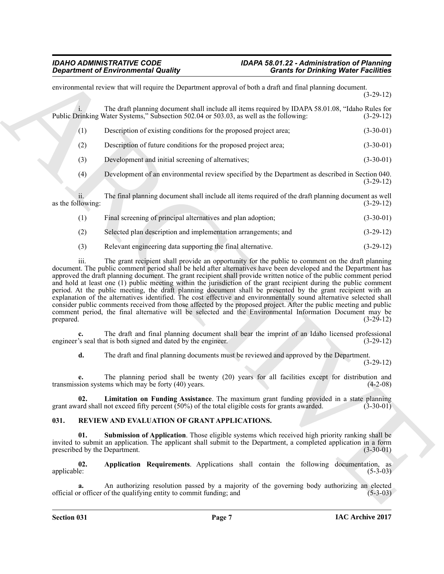**Constraint of Environmental Quality Constraint Constraint Constraint (Constraint Constraint Constraint Constraint Constraint Constraint Constraint Constraint Constraint Constraint Constraint Constraint Constraint Constra** environmental review that will require the Department approval of both a draft and final planning document. (3-29-12) i. The draft planning document shall include all items required by IDAPA 58.01.08, "Idaho Rules for rinking Water Systems," Subsection 502.04 or 503.03, as well as the following: (3-29-12) Public Drinking Water Systems," Subsection 502.04 or 503.03, as well as the following: (1) Description of existing conditions for the proposed project area; (3-30-01) (2) Description of future conditions for the proposed project area; (3-30-01) (3) Development and initial screening of alternatives; (3-30-01) (4) Development of an environmental review specified by the Department as described in Section 040. (3-29-12) ii. The final planning document shall include all items required of the draft planning document as well as the following: (1) Final screening of principal alternatives and plan adoption; (3-30-01) (2) Selected plan description and implementation arrangements; and (3-29-12)

(3) Relevant engineering data supporting the final alternative. (3-29-12)

iii. The grant recipient shall provide an opportunity for the public to comment on the draft planning document. The public comment period shall be held after alternatives have been developed and the Department has approved the draft planning document. The grant recipient shall provide written notice of the public comment period and hold at least one (1) public meeting within the jurisdiction of the grant recipient during the public comment period. At the public meeting, the draft planning document shall be presented by the grant recipient with an explanation of the alternatives identified. The cost effective and environmentally sound alternative selected shall consider public comments received from those affected by the proposed project. After the public meeting and public comment period, the final alternative will be selected and the Environmental Information Document may be prepared.  $(3-29-12)$ 

**c.** The draft and final planning document shall bear the imprint of an Idaho licensed professional is so seal that is both signed and dated by the engineer.  $(3-29-12)$ engineer's seal that is both signed and dated by the engineer.

<span id="page-6-1"></span>**d.** The draft and final planning documents must be reviewed and approved by the Department.

(3-29-12)

**e.** The planning period shall be twenty (20) years for all facilities except for distribution and sion systems which may be forty (40) years. (4-2-08) transmission systems which may be forty  $(40)$  years.

**02.** Limitation on Funding Assistance. The maximum grant funding provided in a state planning ard shall not exceed fifty percent (50%) of the total eligible costs for grants awarded. (3-30-01) grant award shall not exceed fifty percent  $(50%)$  of the total eligible costs for grants awarded.

### <span id="page-6-2"></span><span id="page-6-0"></span>**031. REVIEW AND EVALUATION OF GRANT APPLICATIONS.**

<span id="page-6-4"></span>**01. Submission of Application**. Those eligible systems which received high priority ranking shall be invited to submit an application. The applicant shall submit to the Department, a completed application in a form prescribed by the Department. (3-30-01) prescribed by the Department.

<span id="page-6-3"></span>**02.** Application Requirements. Applications shall contain the following documentation, as applicable: (5-3-03) applicable: (5-3-03)

An authorizing resolution passed by a majority of the governing body authorizing an elected of the qualifying entity to commit funding; and (5-3-03) official or officer of the qualifying entity to commit funding; and (5-3-03)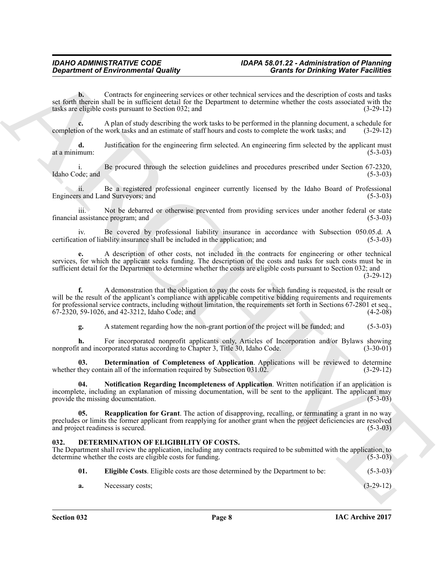**b.** Contracts for engineering services or other technical services and the description of costs and tasks set forth therein shall be in sufficient detail for the Department to determine whether the costs associated with the tasks are eligible costs pursuant to Section 032; and (3-29-12) tasks are eligible costs pursuant to Section 032; and

A plan of study describing the work tasks to be performed in the planning document, a schedule for work tasks and an estimate of staff hours and costs to complete the work tasks; and (3-29-12) completion of the work tasks and an estimate of staff hours and costs to complete the work tasks; and

**d.** Justification for the engineering firm selected. An engineering firm selected by the applicant must at a minimum: (5-3-03)

i. Be procured through the selection guidelines and procedures prescribed under Section 67-2320, index and (5-3-03) Idaho Code; and

ii. Be a registered professional engineer currently licensed by the Idaho Board of Professional Engineers and Land Surveyors; and

iii. Not be debarred or otherwise prevented from providing services under another federal or state financial assistance program; and (5-3-03)

iv. Be covered by professional liability insurance in accordance with Subsection 050.05.d. A ion of liability insurance shall be included in the application; and (5-3-03) certification of liability insurance shall be included in the application; and

**e.** A description of other costs, not included in the contracts for engineering or other technical services, for which the applicant seeks funding. The description of the costs and tasks for such costs must be in sufficient detail for the Department to determine whether the costs are eligible costs pursuant to Section 032; and

(3-29-12)

General methods of the context of the set of the set of the set of the context of the context of the set of the set of the set of the set of the set of the set of the set of the set of the set of the set of the set of the **f.** A demonstration that the obligation to pay the costs for which funding is requested, is the result or will be the result of the applicant's compliance with applicable competitive bidding requirements and requirements for professional service contracts, including without limitation, the requirements set forth in Sections 67-2801 et seq.,  $67-2320$ ,  $59-1026$ , and  $42-3212$ , Idaho Code; and

<span id="page-7-3"></span>**g.** A statement regarding how the non-grant portion of the project will be funded; and (5-3-03)

**h.** For incorporated nonprofit applicants only, Articles of Incorporation and/or Bylaws showing t and incorporated status according to Chapter 3. Title 30, Idaho Code. (3-30-01) nonprofit and incorporated status according to Chapter 3, Title 30, Idaho Code.

**03. Determination of Completeness of Application**. Applications will be reviewed to determine they contain all of the information required by Subsection 031.02. (3-29-12) whether they contain all of the information required by Subsection  $031.02$ .

<span id="page-7-4"></span>**04. Notification Regarding Incompleteness of Application**. Written notification if an application is incomplete, including an explanation of missing documentation, will be sent to the applicant. The applicant may<br>provide the missing documentation. (5-3-03) provide the missing documentation.

<span id="page-7-5"></span>**05. Reapplication for Grant**. The action of disapproving, recalling, or terminating a grant in no way precludes or limits the former applicant from reapplying for another grant when the project deficiencies are resolved and project readiness is secured. (5-3-03)  $(5-3-03)$ 

### <span id="page-7-1"></span><span id="page-7-0"></span>**032. DETERMINATION OF ELIGIBILITY OF COSTS.**

The Department shall review the application, including any contracts required to be submitted with the application, to determine whether the costs are eligible costs for funding. (5-3-03)

- <span id="page-7-2"></span>**01. Eligible Costs**. Eligible costs are those determined by the Department to be: (5-3-03)
- **a.** Necessary costs; (3-29-12)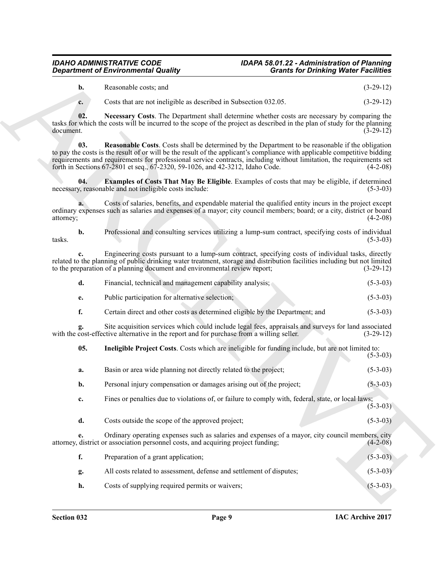### *IDAHO ADMINISTRATIVE CODE IDAPA 58.01.22 - Administration of Planning Department of Environmental Quality*

<span id="page-8-3"></span><span id="page-8-2"></span><span id="page-8-0"></span>

| Reasonable costs; and<br>b. | $(3-29-12)$ |
|-----------------------------|-------------|
|-----------------------------|-------------|

|                  | <b>Department of Environmental Quality</b>                                                                                                                                                                                                                                                                                                                                                                                                    | <b>Grants for Drinking Water Facilities</b> |             |
|------------------|-----------------------------------------------------------------------------------------------------------------------------------------------------------------------------------------------------------------------------------------------------------------------------------------------------------------------------------------------------------------------------------------------------------------------------------------------|---------------------------------------------|-------------|
| b.               | Reasonable costs; and                                                                                                                                                                                                                                                                                                                                                                                                                         |                                             | $(3-29-12)$ |
| c.               | Costs that are not ineligible as described in Subsection 032.05.                                                                                                                                                                                                                                                                                                                                                                              |                                             | $(3-29-12)$ |
| 02.<br>document. | Necessary Costs. The Department shall determine whether costs are necessary by comparing the<br>tasks for which the costs will be incurred to the scope of the project as described in the plan of study for the planning                                                                                                                                                                                                                     |                                             | $(3-29-12)$ |
| 03.              | <b>Reasonable Costs.</b> Costs shall be determined by the Department to be reasonable if the obligation<br>to pay the costs is the result of or will be the result of the applicant's compliance with applicable competitive bidding<br>requirements and requirements for professional service contracts, including without limitation, the requirements set<br>forth in Sections 67-2801 et seq., 67-2320, 59-1026, and 42-3212, Idaho Code. |                                             | $(4-2-08)$  |
| 04.              | <b>Examples of Costs That May Be Eligible.</b> Examples of costs that may be eligible, if determined<br>necessary, reasonable and not ineligible costs include:                                                                                                                                                                                                                                                                               |                                             | $(5-3-03)$  |
| attorney;        | Costs of salaries, benefits, and expendable material the qualified entity incurs in the project except<br>ordinary expenses such as salaries and expenses of a mayor; city council members; board; or a city, district or board                                                                                                                                                                                                               |                                             | $(4-2-08)$  |
| b.<br>tasks.     | Professional and consulting services utilizing a lump-sum contract, specifying costs of individual                                                                                                                                                                                                                                                                                                                                            |                                             | $(5-3-03)$  |
|                  | Engineering costs pursuant to a lump-sum contract, specifying costs of individual tasks, directly<br>related to the planning of public drinking water treatment, storage and distribution facilities including but not limited<br>to the preparation of a planning document and environmental review report;                                                                                                                                  |                                             | $(3-29-12)$ |
| d.               | Financial, technical and management capability analysis;                                                                                                                                                                                                                                                                                                                                                                                      |                                             | $(5-3-03)$  |
| e.               | Public participation for alternative selection;                                                                                                                                                                                                                                                                                                                                                                                               |                                             | $(5-3-03)$  |
| f.               | Certain direct and other costs as determined eligible by the Department; and                                                                                                                                                                                                                                                                                                                                                                  |                                             | $(5-3-03)$  |
|                  | Site acquisition services which could include legal fees, appraisals and surveys for land associated<br>with the cost-effective alternative in the report and for purchase from a willing seller.                                                                                                                                                                                                                                             |                                             | $(3-29-12)$ |
| 05.              | Ineligible Project Costs. Costs which are ineligible for funding include, but are not limited to:                                                                                                                                                                                                                                                                                                                                             |                                             | $(5-3-03)$  |
| a.               | Basin or area wide planning not directly related to the project;                                                                                                                                                                                                                                                                                                                                                                              |                                             | $(5-3-03)$  |
| b.               | Personal injury compensation or damages arising out of the project;                                                                                                                                                                                                                                                                                                                                                                           |                                             | $(5-3-03)$  |
| c.               | Fines or penalties due to violations of, or failure to comply with, federal, state, or local laws;                                                                                                                                                                                                                                                                                                                                            |                                             | $(5-3-03)$  |
| d.               | Costs outside the scope of the approved project;                                                                                                                                                                                                                                                                                                                                                                                              |                                             | $(5-3-03)$  |
| e.               | Ordinary operating expenses such as salaries and expenses of a mayor, city council members, city<br>attorney, district or association personnel costs, and acquiring project funding;                                                                                                                                                                                                                                                         |                                             | $(4-2-08)$  |
| f.               | Preparation of a grant application;                                                                                                                                                                                                                                                                                                                                                                                                           |                                             | $(5-3-03)$  |
| g.               | All costs related to assessment, defense and settlement of disputes;                                                                                                                                                                                                                                                                                                                                                                          |                                             | $(5-3-03)$  |
|                  |                                                                                                                                                                                                                                                                                                                                                                                                                                               |                                             |             |

<span id="page-8-1"></span>

| Basin or area wide planning not directly related to the project;    | $(5-3-03)$ |
|---------------------------------------------------------------------|------------|
| Personal injury compensation or damages arising out of the project; | $(5-3-03)$ |

- **f.** Preparation of a grant application; (5-3-03)
- **g.** All costs related to assessment, defense and settlement of disputes; (5-3-03) **h.** Costs of supplying required permits or waivers; (5-3-03)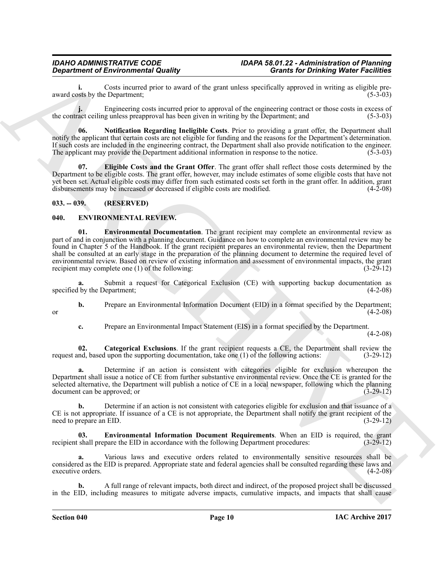**i.** Costs incurred prior to award of the grant unless specifically approved in writing as eligible pre-<br>(5-3-03) award costs by the Department;

**j.** Engineering costs incurred prior to approval of the engineering contract or those costs in excess of the contract ceiling unless preapproval has been given in writing by the Department; and (5-3-03)

<span id="page-9-3"></span>**06. Notification Regarding Ineligible Costs**. Prior to providing a grant offer, the Department shall notify the applicant that certain costs are not eligible for funding and the reasons for the Department's determination. If such costs are included in the engineering contract, the Department shall also provide notification to the engineer. The applicant may provide the Department additional information in response to the notice. (5-3-03)

<span id="page-9-2"></span>**07. Eligible Costs and the Grant Offer**. The grant offer shall reflect those costs determined by the Department to be eligible costs. The grant offer, however, may include estimates of some eligible costs that have not yet been set. Actual eligible costs may differ from such estimated costs set forth in the grant offer. In addition, grant disbursements may be increased or decreased if eligible costs are modified. (4-2-08)

### <span id="page-9-0"></span>**033. -- 039. (RESERVED)**

### <span id="page-9-6"></span><span id="page-9-4"></span><span id="page-9-1"></span>**040. ENVIRONMENTAL REVIEW.**

**Considering the three considers and the set of the state, under the Consider Scheme Scheme and the set of the state of the set of the set of the set of the set of the set of the set of the set of the set of the set of th 01. Environmental Documentation**. The grant recipient may complete an environmental review as part of and in conjunction with a planning document. Guidance on how to complete an environmental review may be found in Chapter 5 of the Handbook. If the grant recipient prepares an environmental review, then the Department shall be consulted at an early stage in the preparation of the planning document to determine the required level of environmental review. Based on review of existing information and assessment of environmental impacts, the grant recipient may complete one (1) of the following: recipient may complete one  $(1)$  of the following:

Submit a request for Categorical Exclusion (CE) with supporting backup documentation as<br>Department: (4-2-08) specified by the Department;

**b.** Prepare an Environmental Information Document (EID) in a format specified by the Department; (4-2-08) or  $(4-2-08)$ 

<span id="page-9-5"></span>**c.** Prepare an Environmental Impact Statement (EIS) in a format specified by the Department.

 $(4-2-08)$ 

**02.** Categorical Exclusions. If the grant recipient requests a CE, the Department shall review the nd, based upon the supporting documentation, take one (1) of the following actions: (3-29-12) request and, based upon the supporting documentation, take one  $(1)$  of the following actions:

**a.** Determine if an action is consistent with categories eligible for exclusion whereupon the Department shall issue a notice of CE from further substantive environmental review. Once the CE is granted for the selected alternative, the Department will publish a notice of CE in a local newspaper, following which the planning document can be approved; or (3-29-12)

**b.** Determine if an action is not consistent with categories eligible for exclusion and that issuance of a CE is not appropriate. If issuance of a CE is not appropriate, the Department shall notify the grant recipient of the need to prepare an EID.  $(3-29-12)$ need to prepare an EID.

<span id="page-9-7"></span>**03. Environmental Information Document Requirements**. When an EID is required, the grant shall prepare the EID in accordance with the following Department procedures: (3-29-12) recipient shall prepare the EID in accordance with the following Department procedures:

**a.** Various laws and executive orders related to environmentally sensitive resources shall be considered as the EID is prepared. Appropriate state and federal agencies shall be consulted regarding these laws and executive orders.

**b.** A full range of relevant impacts, both direct and indirect, of the proposed project shall be discussed in the EID, including measures to mitigate adverse impacts, cumulative impacts, and impacts that shall cause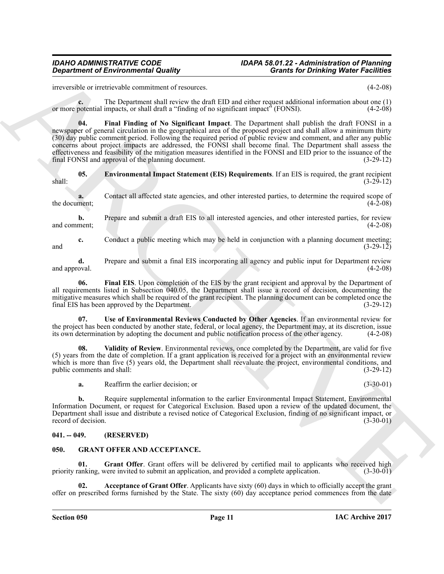## *IDAHO ADMINISTRATIVE CODE IDAPA 58.01.22 - Administration of Planning*

irreversible or irretrievable commitment of resources. (4-2-08)

<span id="page-10-4"></span>**c.** The Department shall review the draft EID and either request additional information about one (1) or more potential impacts, or shall draft a "finding of no significant impact" (FONSI). (4-2-08)

**Considered of Environmental Routing**<br>
Archives the materials of the Constraint Considered of the Constraint Considered of the Constraint Considered of the Constraint Considered of the Constraint Considered of the Constra **04. Final Finding of No Significant Impact**. The Department shall publish the draft FONSI in a newspaper of general circulation in the geographical area of the proposed project and shall allow a minimum thirty (30) day public comment period. Following the required period of public review and comment, and after any public concerns about project impacts are addressed, the FONSI shall become final. The Department shall assess the effectiveness and feasibility of the mitigation measures identified in the FONSI and EID prior to the issuance of the final FONSI and approval of the planning document. (3-29-12) final FONSI and approval of the planning document.

<span id="page-10-2"></span>**05. Environmental Impact Statement (EIS) Requirements**. If an EIS is required, the grant recipient (3-29-12) shall: (3-29-12)

**a.** Contact all affected state agencies, and other interested parties, to determine the required scope of ment; the document;

**b.** Prepare and submit a draft EIS to all interested agencies, and other interested parties, for review (4-2-08) and comment;

**c.** Conduct a public meeting which may be held in conjunction with a planning document meeting;<br>(3-29-12) and  $(3-29-12)$ 

**d.** Prepare and submit a final EIS incorporating all agency and public input for Department review oval. (4-2-08) and approval.

<span id="page-10-3"></span>**06. Final EIS**. Upon completion of the EIS by the grant recipient and approval by the Department of all requirements listed in Subsection 040.05, the Department shall issue a record of decision, documenting the mitigative measures which shall be required of the grant recipient. The planning document can be completed once the final EIS has been approved by the Department. (3-29-12) final EIS has been approved by the Department.

<span id="page-10-5"></span>**07. Use of Environmental Reviews Conducted by Other Agencies**. If an environmental review for the project has been conducted by another state, federal, or local agency, the Department may, at its discretion, issue its own determination by adopting the document and public notification process of the other agency. (4 its own determination by adopting the document and public notification process of the other agency.

**Validity of Review**. Environmental reviews, once completed by the Department, are valid for five (5) years from the date of completion. If a grant application is received for a project with an environmental review which is more than five (5) years old, the Department shall reevaluate the project, environmental conditions, and public comments and shall:  $(3-29-12)$ public comments and shall:

<span id="page-10-6"></span>**a.** Reaffirm the earlier decision; or (3-30-01)

**b.** Require supplemental information to the earlier Environmental Impact Statement, Environmental Information Document, or request for Categorical Exclusion. Based upon a review of the updated document, the Department shall issue and distribute a revised notice of Categorical Exclusion, finding of no significant impact, or record of decision.

### <span id="page-10-0"></span>**041. -- 049. (RESERVED)**

### <span id="page-10-7"></span><span id="page-10-1"></span>**050. GRANT OFFER AND ACCEPTANCE.**

<span id="page-10-9"></span>**01.** Grant Offer. Grant offers will be delivered by certified mail to applicants who received high canking, were invited to submit an application, and provided a complete application. (3-30-01) priority ranking, were invited to submit an application, and provided a complete application.

<span id="page-10-8"></span>**02. Acceptance of Grant Offer**. Applicants have sixty (60) days in which to officially accept the grant offer on prescribed forms furnished by the State. The sixty (60) day acceptance period commences from the date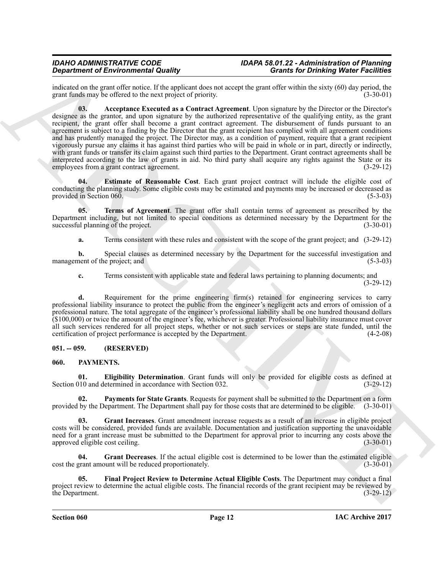<span id="page-11-2"></span>indicated on the grant offer notice. If the applicant does not accept the grant offer within the sixty (60) day period, the grant funds may be offered to the next project of priority. (3-30-01) grant funds may be offered to the next project of priority.

**Counter of Evaluation of the Counter of Counter Counter Counter Counter of Counter of Counter of Counter of the Counter of the Counter of the Counter of the Counter of the Counter of the Counter of the Counter of the Cou 03.** Acceptance Executed as a Contract Agreement. Upon signature by the Director or the Director's designee as the grantor, and upon signature by the authorized representative of the qualifying entity, as the grant recipient, the grant offer shall become a grant contract agreement. The disbursement of funds pursuant to an agreement is subject to a finding by the Director that the grant recipient has complied with all agreement conditions and has prudently managed the project. The Director may, as a condition of payment, require that a grant recipient vigorously pursue any claims it has against third parties who will be paid in whole or in part, directly or indirectly, with grant funds or transfer its claim against such third parties to the Department. Grant contract agreements shall be interpreted according to the law of grants in aid. No third party shall acquire any rights against the State or its employees from a grant contract agreement. (3-29-12) employees from a grant contract agreement.

<span id="page-11-3"></span>**04. Estimate of Reasonable Cost**. Each grant project contract will include the eligible cost of conducting the planning study. Some eligible costs may be estimated and payments may be increased or decreased as provided in Section 060. (5-3-03) provided in Section 060.

**05. Terms of Agreement**. The grant offer shall contain terms of agreement as prescribed by the Department including, but not limited to special conditions as determined necessary by the Department for the successful planning of the project.

<span id="page-11-4"></span>**a.** Terms consistent with these rules and consistent with the scope of the grant project; and (3-29-12)

**b.** Special clauses as determined necessary by the Department for the successful investigation and management of the project; and (5-3-03) (5-3-03)

**c.** Terms consistent with applicable state and federal laws pertaining to planning documents; and (3-29-12)

**d.** Requirement for the prime engineering firm(s) retained for engineering services to carry professional liability insurance to protect the public from the engineer's negligent acts and errors of omission of a professional nature. The total aggregate of the engineer's professional liability shall be one hundred thousand dollars (\$100,000) or twice the amount of the engineer's fee, whichever is greater. Professional liability insurance must cover all such services rendered for all project steps, whether or not such services or steps are state funded, until the certification of project performance is accepted by the Department. (4-2-08) certification of project performance is accepted by the Department.

### <span id="page-11-0"></span>**051. -- 059. (RESERVED)**

### <span id="page-11-5"></span><span id="page-11-1"></span>**060. PAYMENTS.**

<span id="page-11-6"></span>**01. Eligibility Determination**. Grant funds will only be provided for eligible costs as defined at (100) and determined in accordance with Section 032. Section 010 and determined in accordance with Section 032.

<span id="page-11-10"></span>**02.** Payments for State Grants. Requests for payment shall be submitted to the Department on a form by the Department. The Department shall pay for those costs that are determined to be eligible. (3-30-01) provided by the Department. The Department shall pay for those costs that are determined to be eligible.

<span id="page-11-8"></span>**03. Grant Increases**. Grant amendment increase requests as a result of an increase in eligible project costs will be considered, provided funds are available. Documentation and justification supporting the unavoidable need for a grant increase must be submitted to the Department for approval prior to incurring any costs above the approved eligible cost ceiling. (3-30-01) approved eligible cost ceiling.

<span id="page-11-7"></span>**04.** Grant Decreases. If the actual eligible cost is determined to be lower than the estimated eligible grant amount will be reduced proportionately. cost the grant amount will be reduced proportionately.

<span id="page-11-9"></span>**05. Final Project Review to Determine Actual Eligible Costs**. The Department may conduct a final project review to determine the actual eligible costs. The financial records of the grant recipient may be reviewed by the Department. (3-29-12) the Department.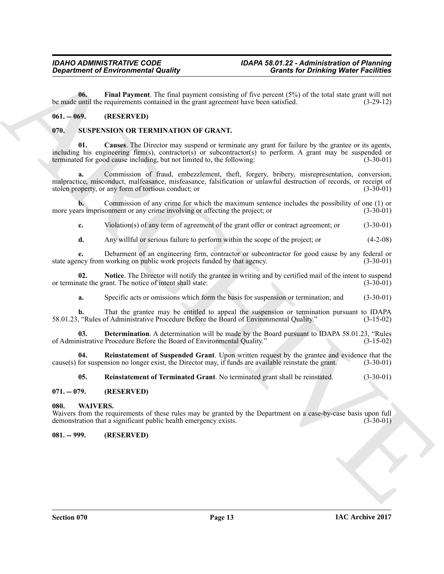<span id="page-12-5"></span>**06.** Final Payment. The final payment consisting of five percent (5%) of the total state grant will not until the requirements contained in the grant agreement have been satisfied. (3-29-12) be made until the requirements contained in the grant agreement have been satisfied.

### <span id="page-12-0"></span>**061. -- 069. (RESERVED)**

### <span id="page-12-6"></span><span id="page-12-1"></span>**070. SUSPENSION OR TERMINATION OF GRANT.**

<span id="page-12-7"></span>**Causes**. The Director may suspend or terminate any grant for failure by the grantee or its agents, including his engineering firm(s), contractor(s) or subcontractor(s) to perform. A grant may be suspended or terminated for good cause including, but not limited to, the following:  $(3-30-01)$ terminated for good cause including, but not limited to, the following:

Great from the Find Equation of Equation 12 Counter 12 Counter 12 Counter 12 Counter 12 Counter 12 Counter 12 Counter 12 Counter 12 Counter 12 Counter 12 Counter 12 Counter 12 Counter 12 Counter 12 Counter 12 Counter 12 C **a.** Commission of fraud, embezzlement, theft, forgery, bribery, misrepresentation, conversion, malpractice, misconduct, malfeasance, misfeasance, falsification or unlawful destruction of records, or receipt of stolen property, or any form of tortious conduct; or (3-30-01)

**b.** Commission of any crime for which the maximum sentence includes the possibility of one (1) or its imprisonment or any crime involving or affecting the project; or  $(3-30-01)$ more years imprisonment or any crime involving or affecting the project; or

**c.** Violation(s) of any term of agreement of the grant offer or contract agreement; or (3-30-01)

**d.** Any willful or serious failure to perform within the scope of the project; or (4-2-08)

**e.** Debarment of an engineering firm, contractor or subcontractor for good cause by any federal or ncy from working on public work projects funded by that agency. (3-30-01) state agency from working on public work projects funded by that agency.

**02.** Notice. The Director will notify the grantee in writing and by certified mail of the intent to suspend ate the grant. The notice of intent shall state: (3-30-01) or terminate the grant. The notice of intent shall state:

<span id="page-12-9"></span><span id="page-12-8"></span>**a.** Specific acts or omissions which form the basis for suspension or termination; and  $(3-30-01)$ 

**b.** That the grantee may be entitled to appeal the suspension or termination pursuant to IDAPA ("Rules of Administrative Procedure Before the Board of Environmental Quality." (3-15-02) 58.01.23, "Rules of Administrative Procedure Before the Board of Environmental Quality."

**03. Determination**. A determination will be made by the Board pursuant to IDAPA 58.01.23, "Rules nistrative Procedure Before the Board of Environmental Quality." (3-15-02) of Administrative Procedure Before the Board of Environmental Quality."

**04. Reinstatement of Suspended Grant**. Upon written request by the grantee and evidence that the cause(s) for suspension no longer exist, the Director may, if funds are available reinstate the grant. (3-30-01)

<span id="page-12-12"></span><span id="page-12-11"></span><span id="page-12-10"></span>**05. Reinstatement of Terminated Grant**. No terminated grant shall be reinstated. (3-30-01)

### <span id="page-12-2"></span>**071. -- 079. (RESERVED)**

### <span id="page-12-3"></span>**080. WAIVERS.**

Waivers from the requirements of these rules may be granted by the Department on a case-by-case basis upon full demonstration that a significant public health emergency exists. (3-30-01) demonstration that a significant public health emergency exists.

<span id="page-12-4"></span>**081. -- 999. (RESERVED)**